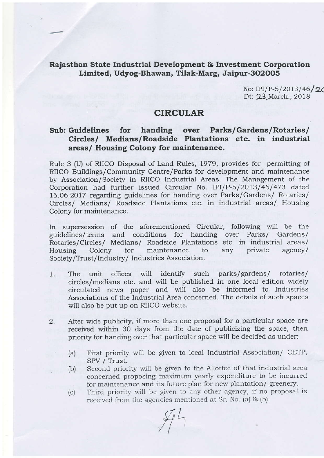## Rajasthan State Industrial Development & Investment Corporation Limited, Udyog-Bhawan, Tilak-Marg, Jaipur-302005

No: IPI/P-5/2013/46/20 Dt: 23 March., 2018

## CIRCULAR

## Sub: Guidelines for handing over Parks/Gardens/Rotaries/ Circles/ Medlans/Roadside Plantations etc. in industrial areas/ Housing Colony for maintenance.

Rule 3 (U) of RIICO Disposal of Land Rules, 1979, provides for permitting of RIICO Buildings/Community Centre/Parks for development and maintenance by Association/Society in RIICO Industrial Areas. The Management of the Corporation had further issued Circular No. IPI/P-5/2013/46/473 dated 16.06.2017 regarding guidelines for handing over Parks/Gardens/ Rotaries/ Circles/ Medians/ Roadside Plantations etc. in industrial areas/ Housing Colony for maintenance.

In supersession of the aforementioned Circular, following will be the guidelines/terms and conditions for handing over Parks/ Gardens/ and conditions for handing over Rotaries/Circles/ Medians/ Roadside Plantations etc. in industrial areas/ Housing Colony for maintenance to any private agency/ Society/Trust/Industry/ Industries Association.

- 1. The unit offices will identify such parks/gardens/ rotaries/ circles/medians etc. and will be published in one local edition widely circulated news paper and will also be informed to Industries Associations of the Industrial Area concemed. The details of such spaces will also be put up on RIICO website.
- 2. Alter wide publicity, if more than one proposal for a particular space are received within 30 days from the date of publicizing the space, then priority for handirg over that particular space will be decided as under:
	- (a) First priority will bc givcn to local Industrial Association/ CETP,
	- (b) Second priority will be given to the Allottee of that industrial area concerned proposing maximum yearly expenditure to be incurred for maintenance and its future plan for new plantation/ greenery.
	- (c) Third priority will be given to any other agency, if no proposal is received from the agencies mentioned at Sr. No. (a) & (b).

 $\mathscr{F}^{\mathcal{L}}$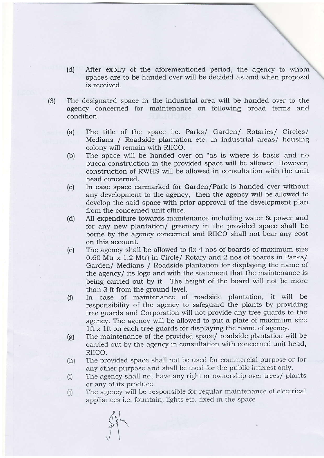- (d) After expiry of the aforementioned period, the agency to whom spaces are to be handed over will be decided as and when proposal is received.
- (3) The designated space in the industrial area will be handed over to the agency concemed for maintenance on following broad terms and condition.
	- The title of the space i.e. Parks/ Garden/ Rotaries/ Circles/ Medians / Roadside plantation etc. in industrial areas/ housing colony will remain with RIICO. (a)
	- The space will be handed over on "as is where is basis' and no pucca construction in the provided space will be allowed. However, construction of RWHS will be allowed in consultation with the unit head concemed, (b)
	- In case space earmarked for Garden/Park is handed over without any development to the agency, then the agency will be allowed to develop the said space with prior approval of the development plan from the concerned unit office. (c)
	- All expenditure towards maintenance including water & power and for any new plantation/ greenery in the provided space shall be bome by the agency concerned and RIICO shall not bear any cost on this account. (d)
	- The agency shall be allowed to fix 4 nos of boards of maximum size 0.60 Mtr x 1.2 Mtr) in Circle/ Rotary and 2 nos of boards in Parks/ Garden/ Medians / Roadside plantation for displaying the name of the agency/ its logo and with the statement that the maintenance is being carried out by it. The height of the board will not be more than 3 ft from the ground level. (e)
	- In case of maintenance of roadside plantation, it will be responsibility of the agency to safeguard the plants by providing tree guards and Corporation will not provide any tree guards to the agency. The agency will be allowed to put a plate of maximum size lft x lft on each tree guards for displaying the name of agency. (f)
	- The maintenance of the provided space/ roadside plantation will be carried out by the agency in consultation with concerned unit head, RIICO.  $(g)$
	- The provided space shall not be used for commercial purpose or for any other purpose and shall be used for the public interest only. (h)
	- The agency shall not have any right or ownership over trees/ plants or any of its produce. (i)
	- The agency will be responsible for regular maintenance of electrical appliances i.e. fountain, lights etc. fixed in the space  $(i)$

 $\mathcal{F}$